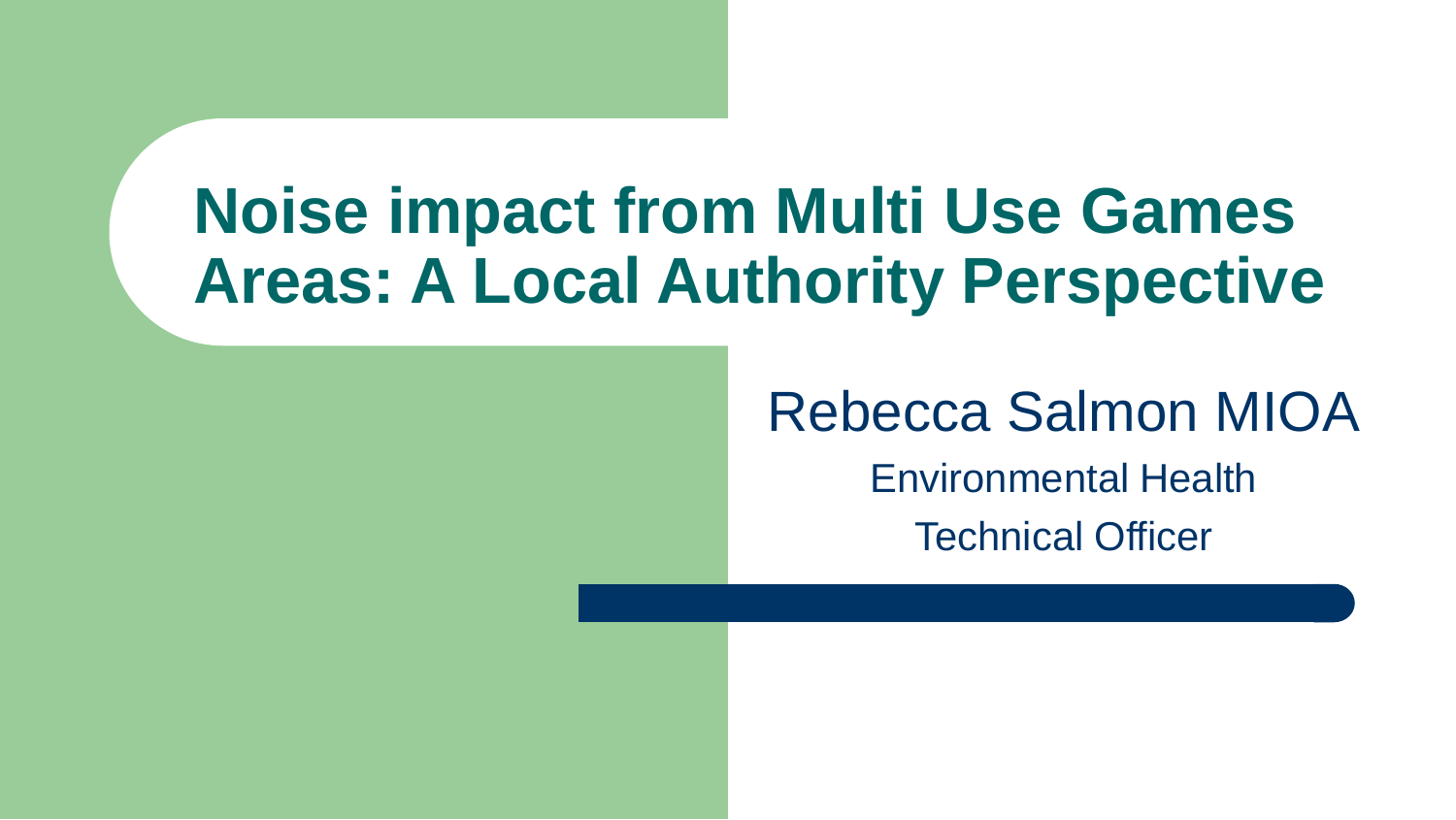#### **Noise impact from Multi Use Games Areas: A Local Authority Perspective**

Rebecca Salmon MIOA

Environmental Health Technical Officer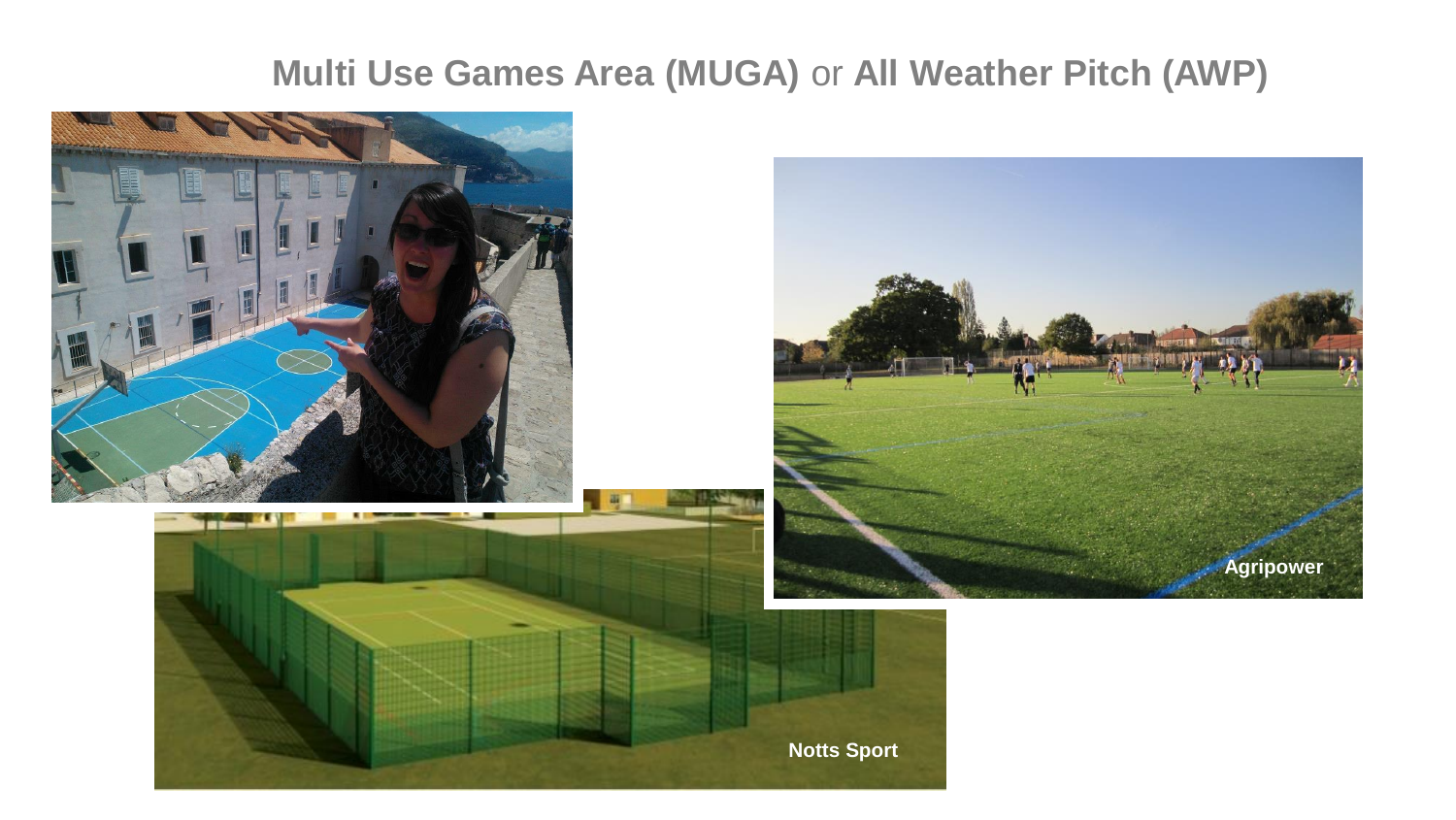#### **Multi Use Games Area (MUGA)** or **All Weather Pitch (AWP)**

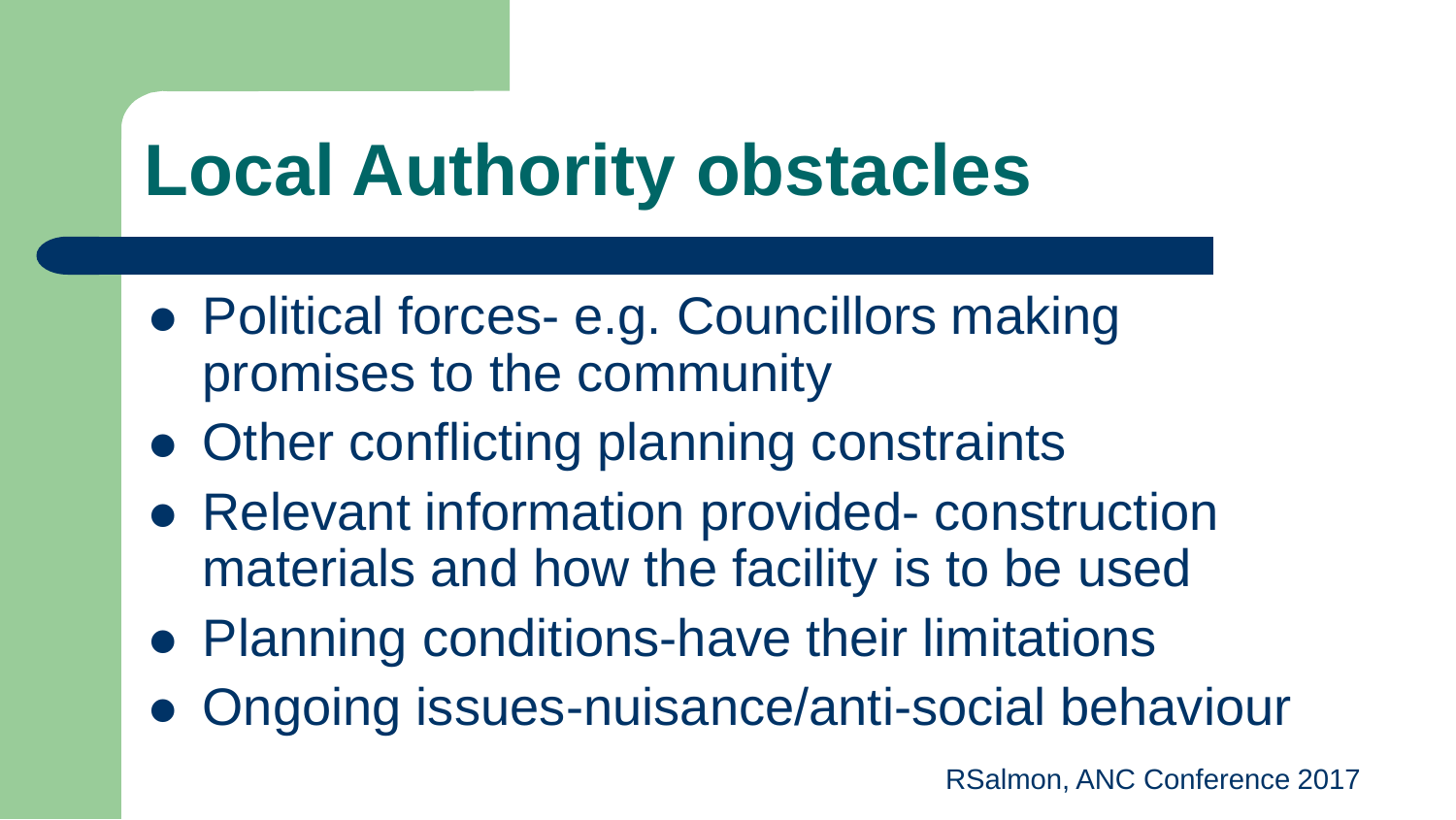### **Local Authority obstacles**

- Political forces- e.g. Councillors making promises to the community
- Other conflicting planning constraints
- Relevant information provided- construction materials and how the facility is to be used
- Planning conditions-have their limitations
- Ongoing issues-nuisance/anti-social behaviour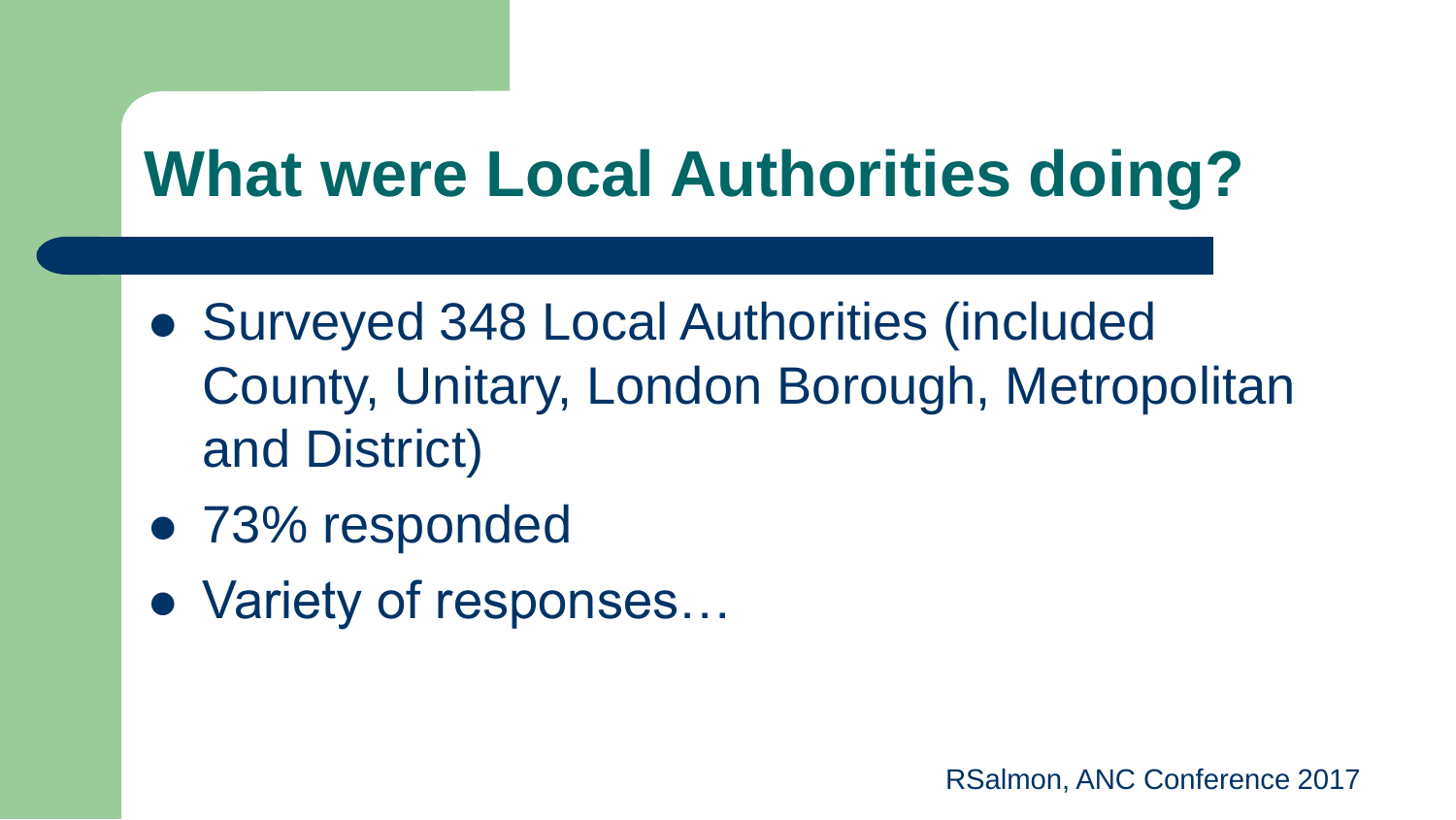#### **What were Local Authorities doing?**

- Surveyed 348 Local Authorities (included County, Unitary, London Borough, Metropolitan and District)
- 73% responded
- Variety of responses…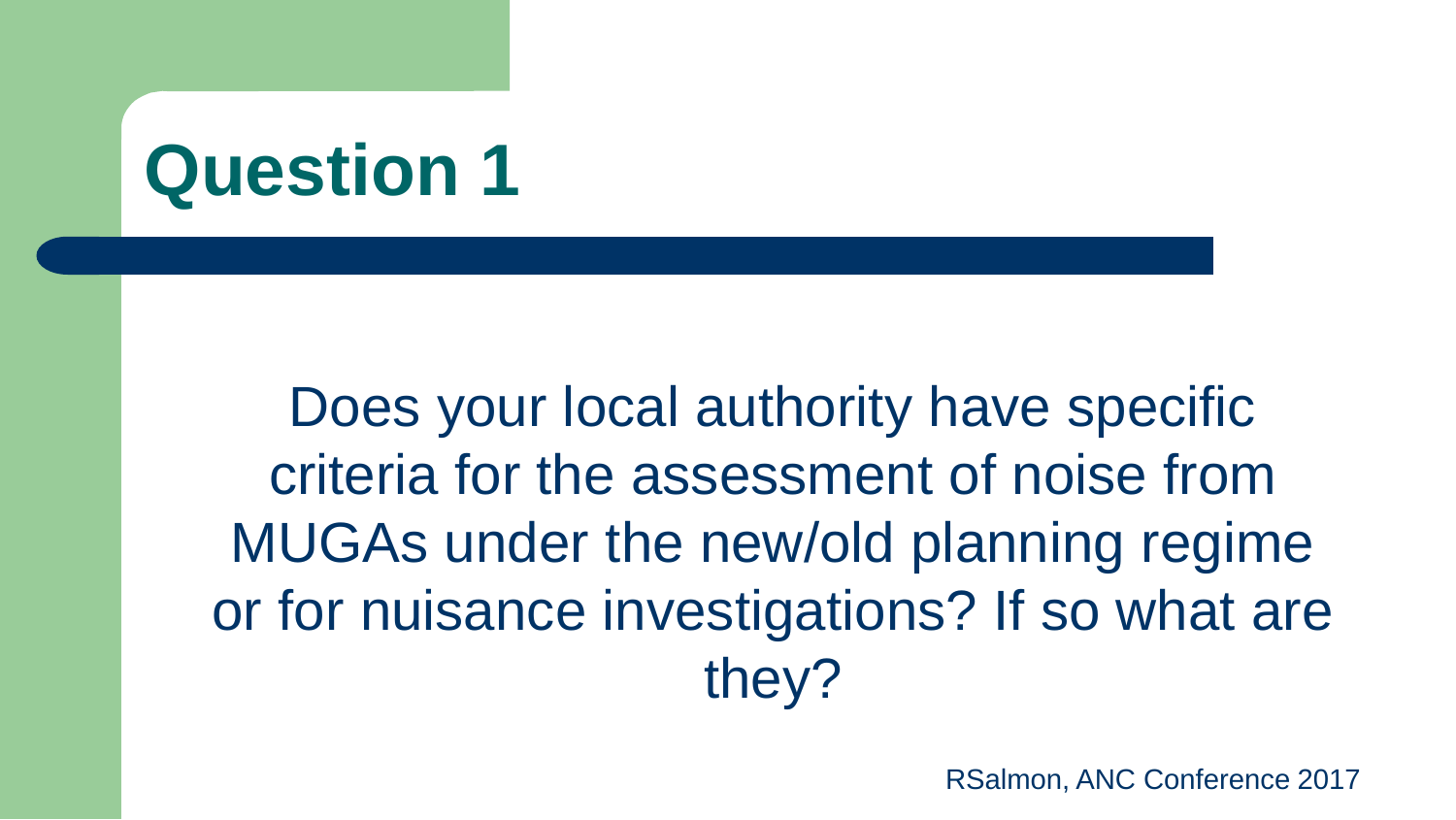Does your local authority have specific criteria for the assessment of noise from MUGAs under the new/old planning regime or for nuisance investigations? If so what are they?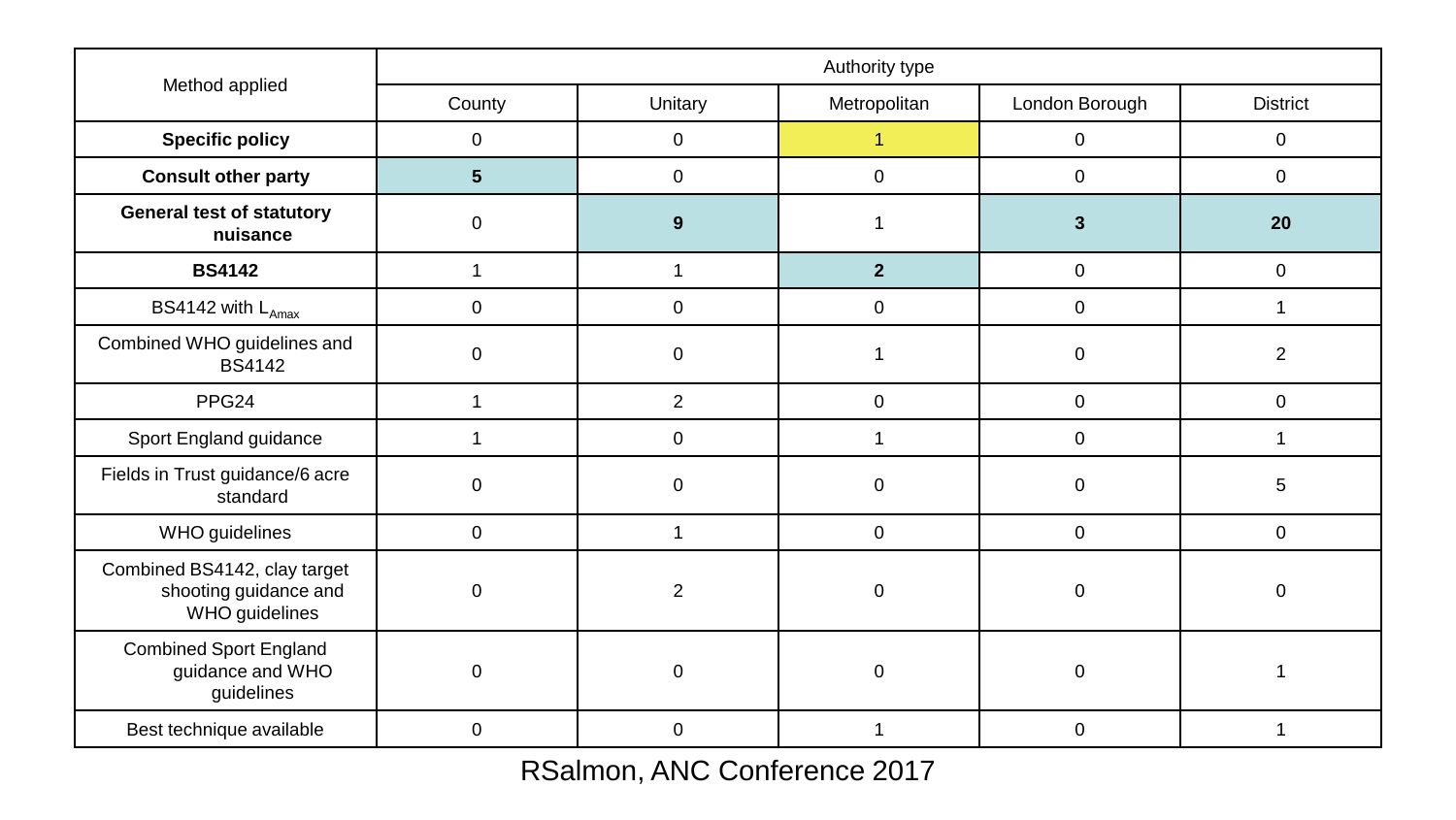| Method applied                                                          | Authority type |                |              |                |                 |
|-------------------------------------------------------------------------|----------------|----------------|--------------|----------------|-----------------|
|                                                                         | County         | Unitary        | Metropolitan | London Borough | <b>District</b> |
| <b>Specific policy</b>                                                  | 0              | $\mathbf 0$    | 1            | 0              | 0               |
| <b>Consult other party</b>                                              | 5              | $\mathbf 0$    | $\mathbf 0$  | 0              | 0               |
| <b>General test of statutory</b><br>nuisance                            | 0              | 9              |              | $\mathbf{3}$   | 20              |
| <b>BS4142</b>                                                           | 1              | 1              | $\mathbf{2}$ | 0              | $\mathbf 0$     |
| BS4142 with $L_{\text{Amax}}$                                           | 0              | $\pmb{0}$      | 0            | 0              |                 |
| Combined WHO guidelines and<br><b>BS4142</b>                            | 0              | $\mathbf 0$    |              | 0              | $\overline{2}$  |
| PPG <sub>24</sub>                                                       | 1              | $\overline{c}$ | $\mathbf 0$  | $\mathbf 0$    | $\mathbf 0$     |
| Sport England guidance                                                  |                | $\pmb{0}$      |              | $\mathbf 0$    |                 |
| Fields in Trust guidance/6 acre<br>standard                             | 0              | $\mathbf 0$    | 0            | $\mathbf 0$    | 5               |
| WHO guidelines                                                          | 0              | 1              | 0            | $\mathbf 0$    | $\mathbf 0$     |
| Combined BS4142, clay target<br>shooting guidance and<br>WHO guidelines | 0              | $\overline{c}$ | $\Omega$     | $\mathbf 0$    | $\Omega$        |
| <b>Combined Sport England</b><br>guidance and WHO<br>guidelines         | 0              | $\mathbf 0$    | 0            | $\mathbf 0$    |                 |
| Best technique available                                                | 0              | $\mathbf 0$    |              | $\Omega$       |                 |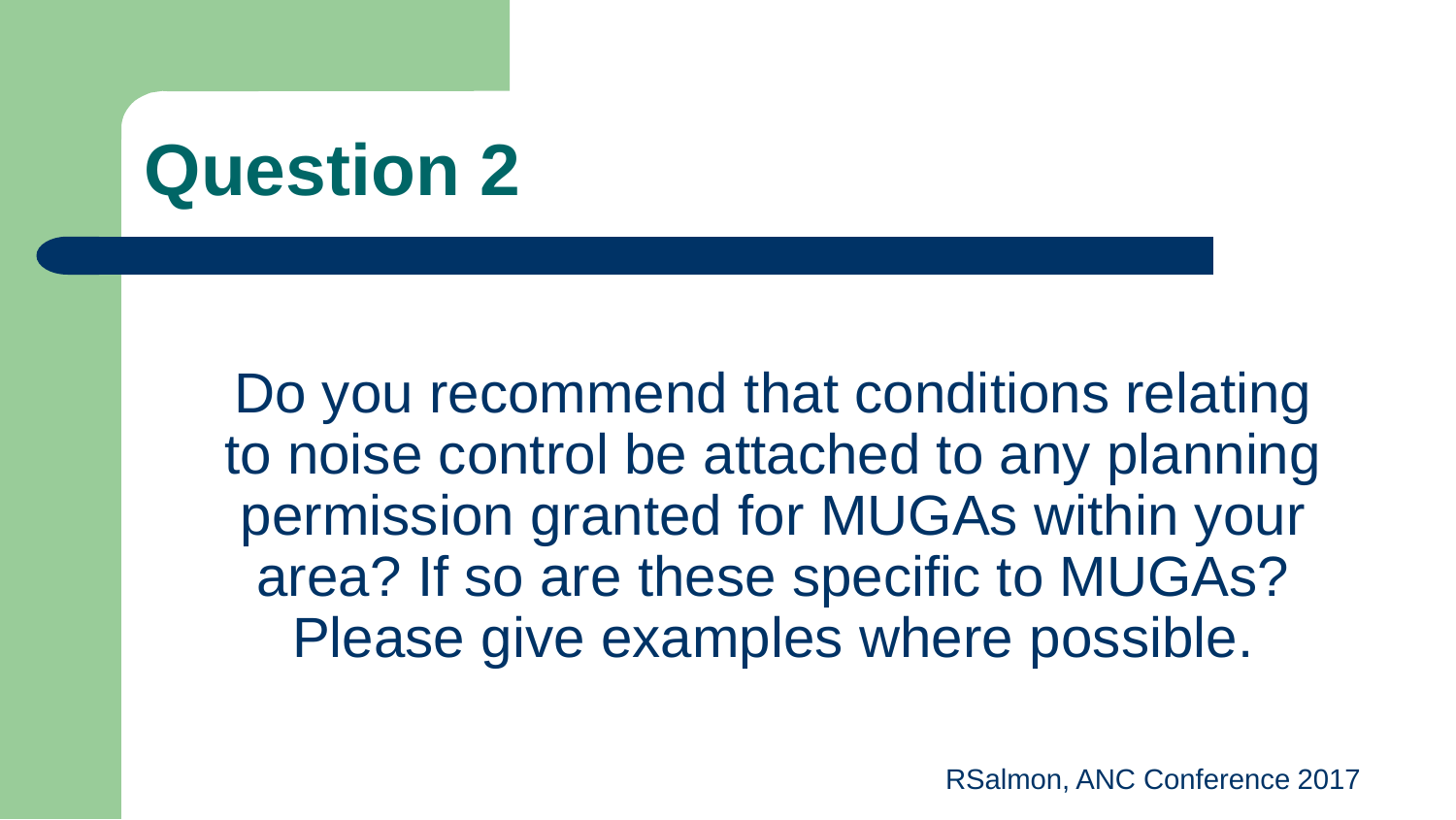Do you recommend that conditions relating to noise control be attached to any planning permission granted for MUGAs within your area? If so are these specific to MUGAs? Please give examples where possible.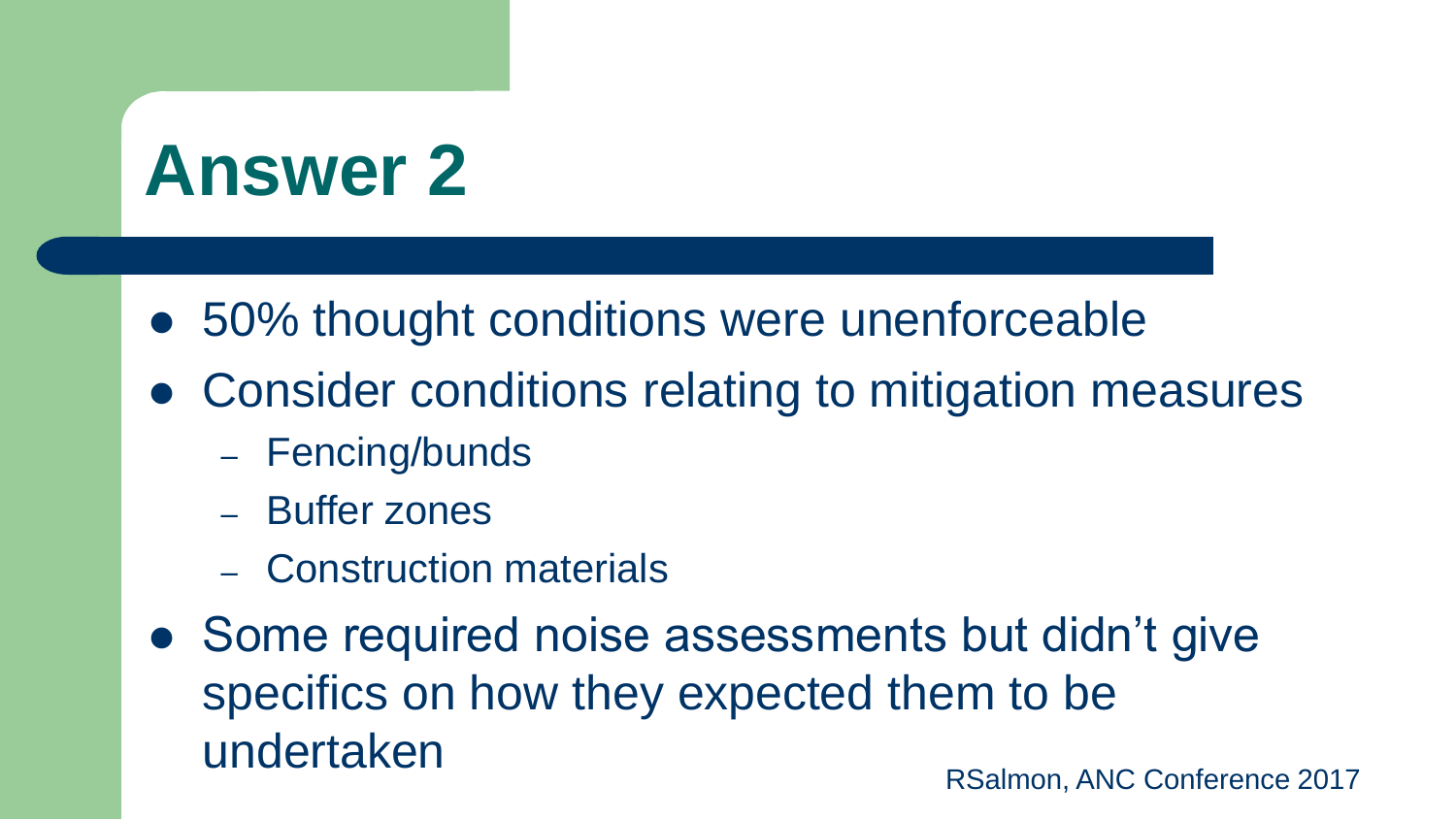- 50% thought conditions were unenforceable
- Consider conditions relating to mitigation measures
	- Fencing/bunds
	- Buffer zones
	- Construction materials
- Some required noise assessments but didn't give specifics on how they expected them to be undertaken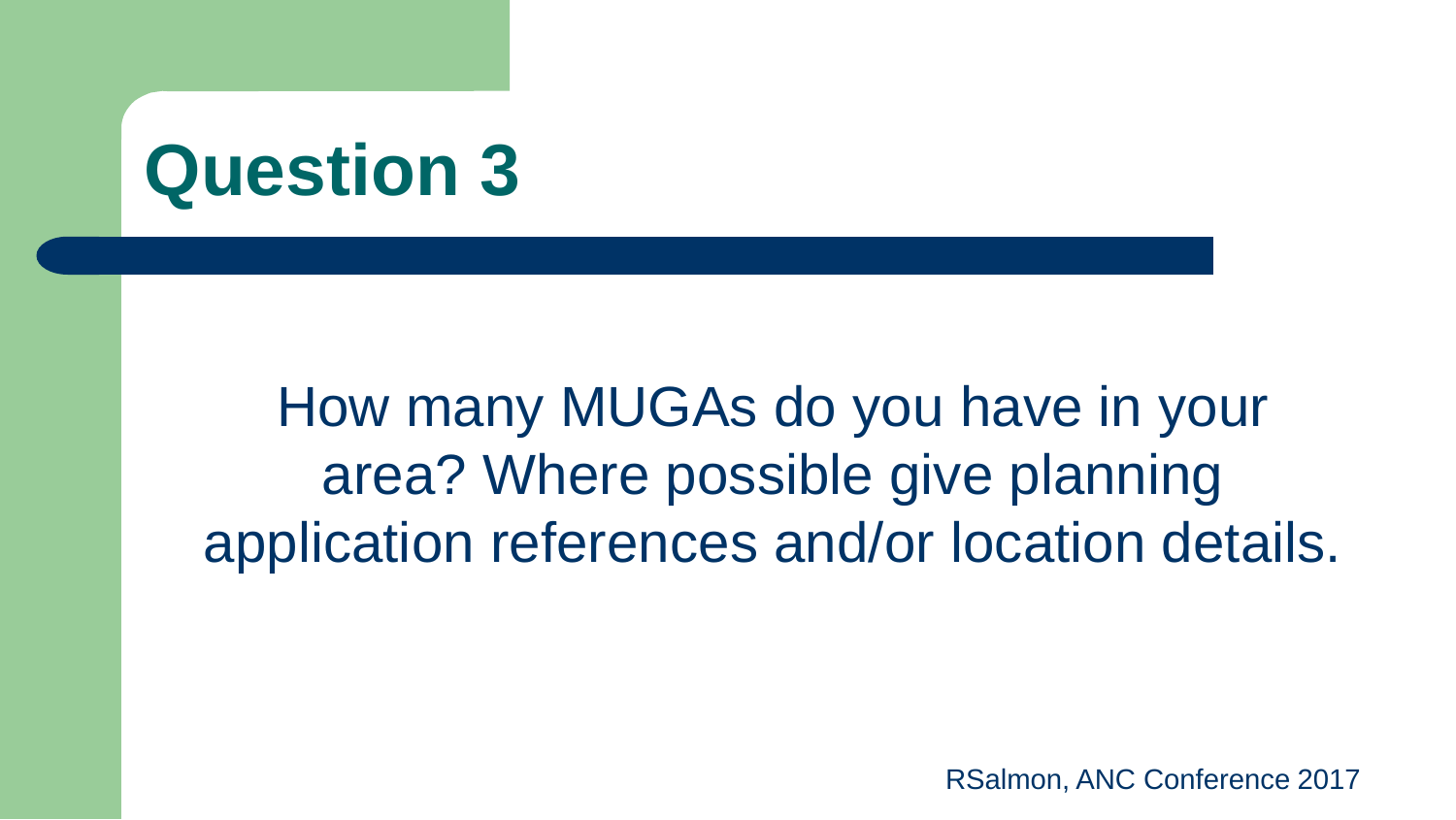How many MUGAs do you have in your area? Where possible give planning application references and/or location details.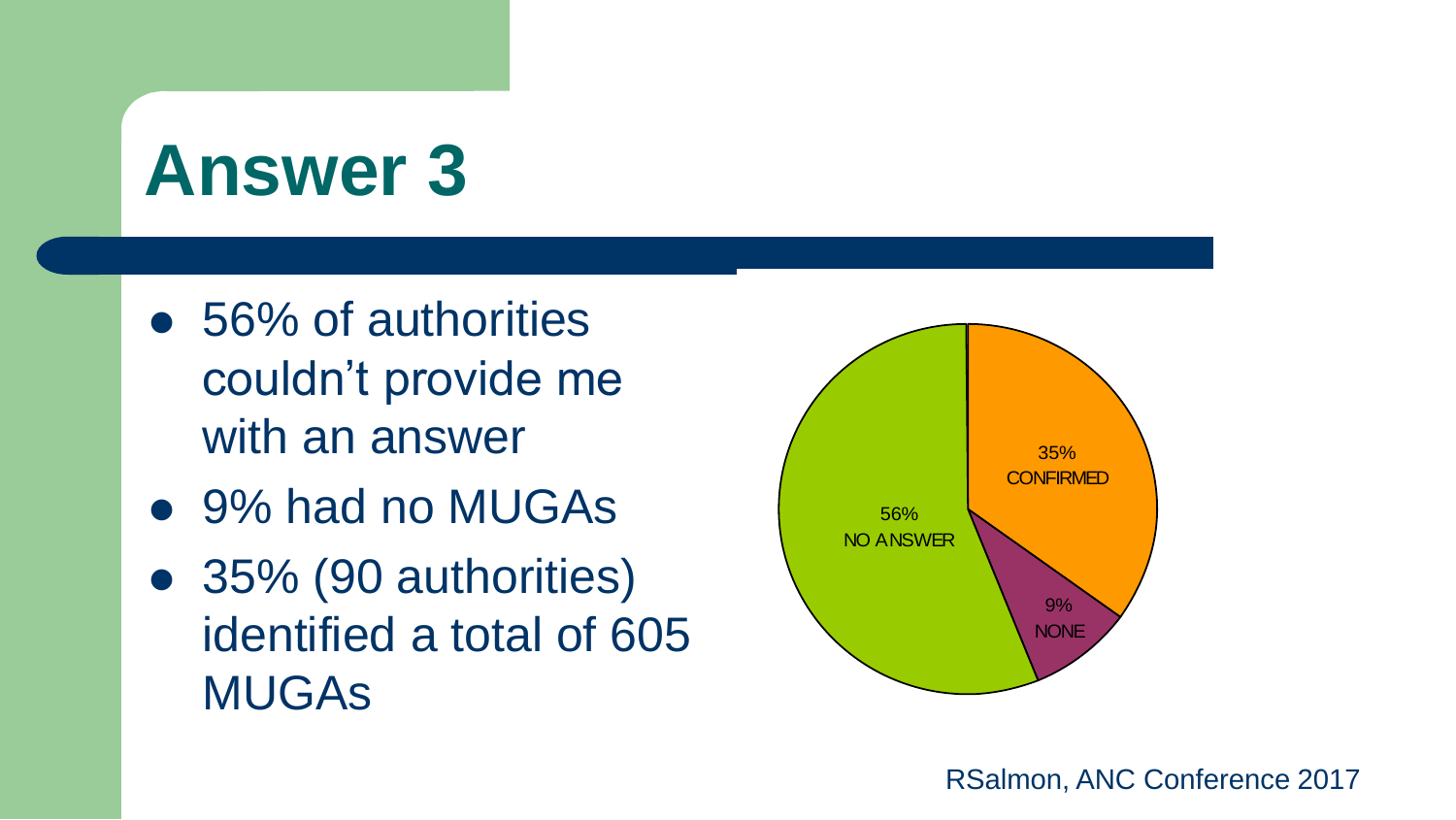- 56% of authorities couldn't provide me with an answer
- 9% had no MUGAs
- 35% (90 authorities) identified a total of 605 MUGAs

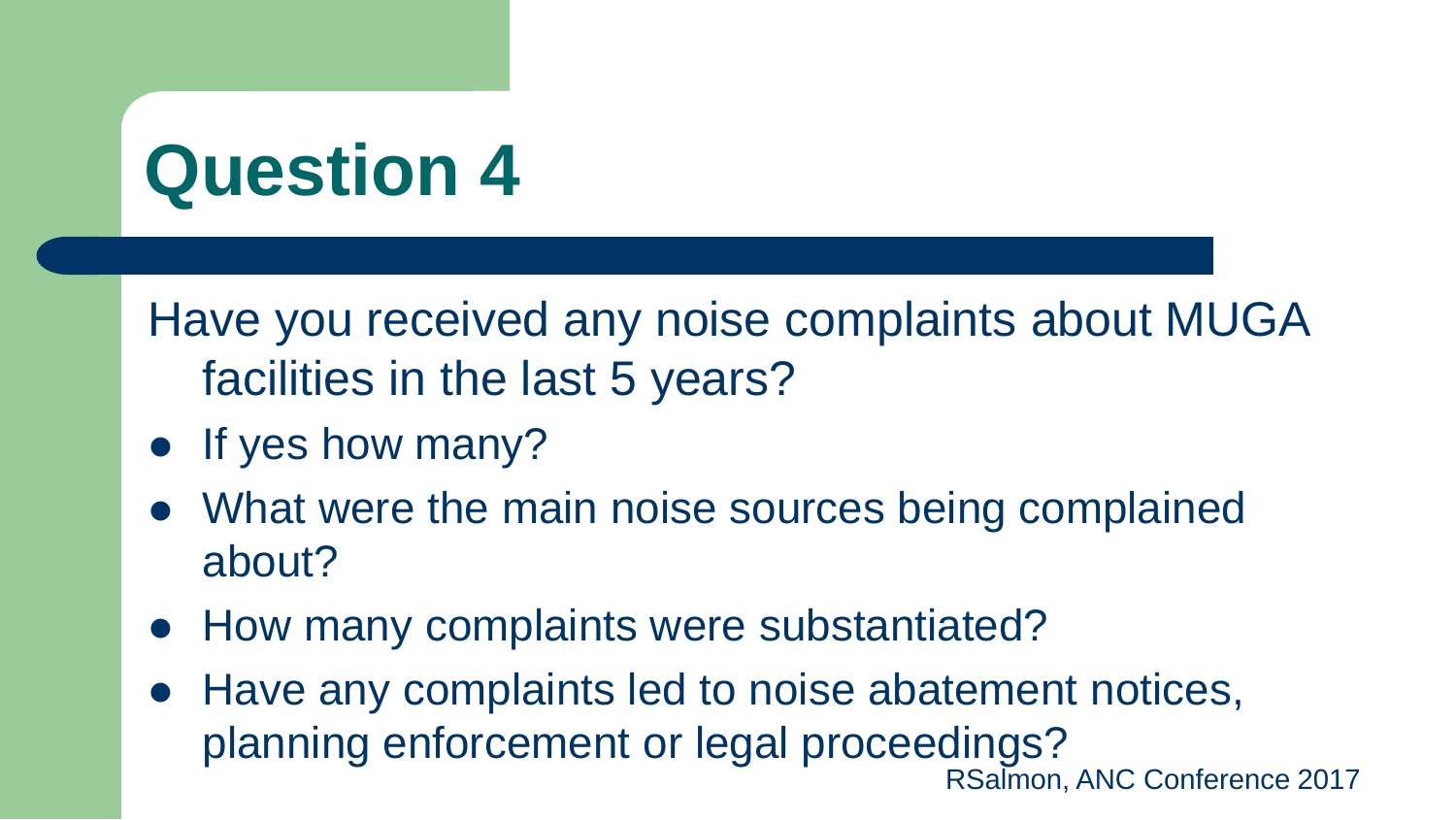Have you received any noise complaints about MUGA facilities in the last 5 years?

- If yes how many?
- What were the main noise sources being complained about?
- How many complaints were substantiated?
- RSalmon, ANC Conference 2017 Have any complaints led to noise abatement notices, planning enforcement or legal proceedings?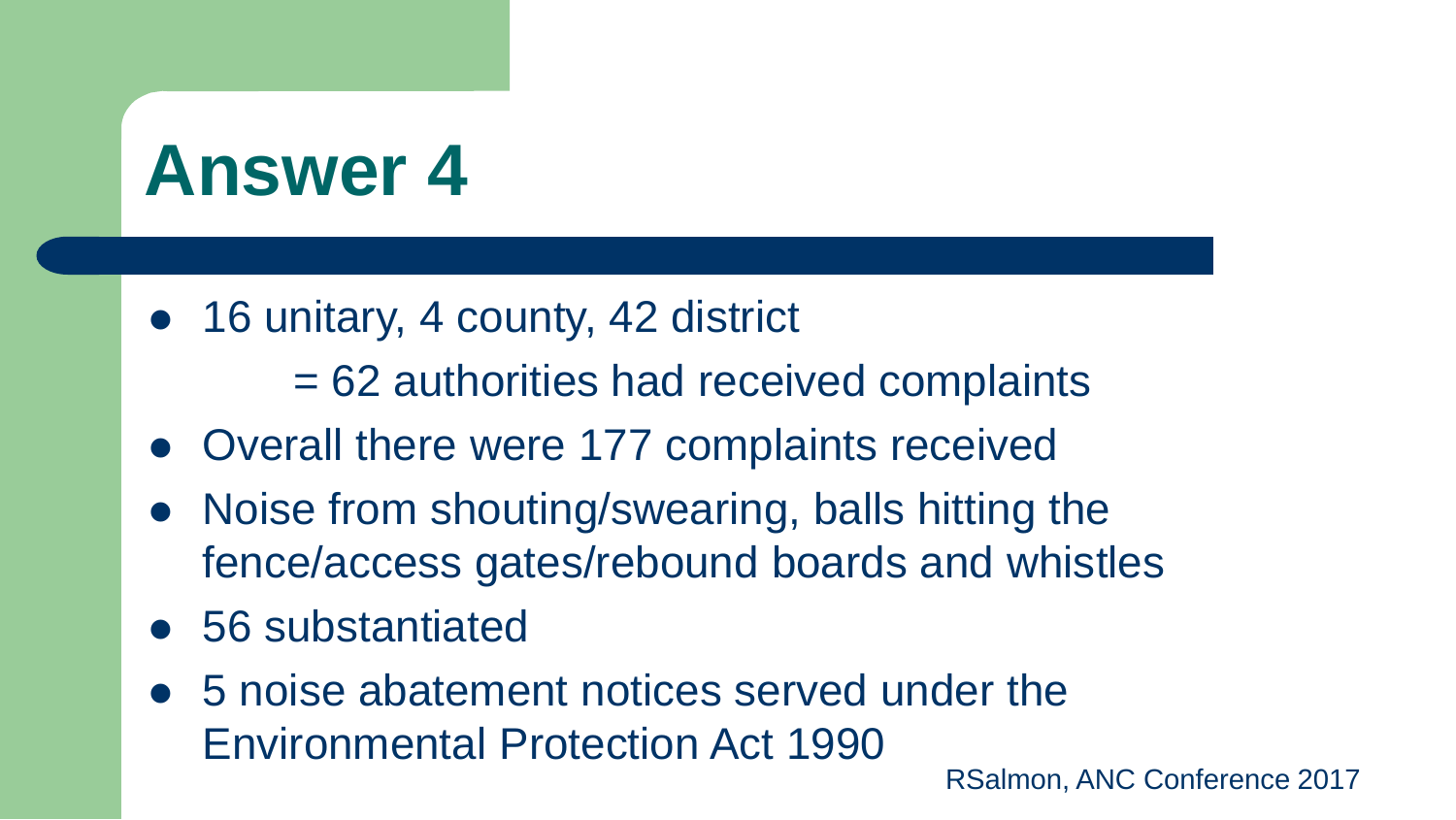• 16 unitary, 4 county, 42 district

= 62 authorities had received complaints

- Overall there were 177 complaints received
- Noise from shouting/swearing, balls hitting the fence/access gates/rebound boards and whistles
- 56 substantiated
- 5 noise abatement notices served under the Environmental Protection Act 1990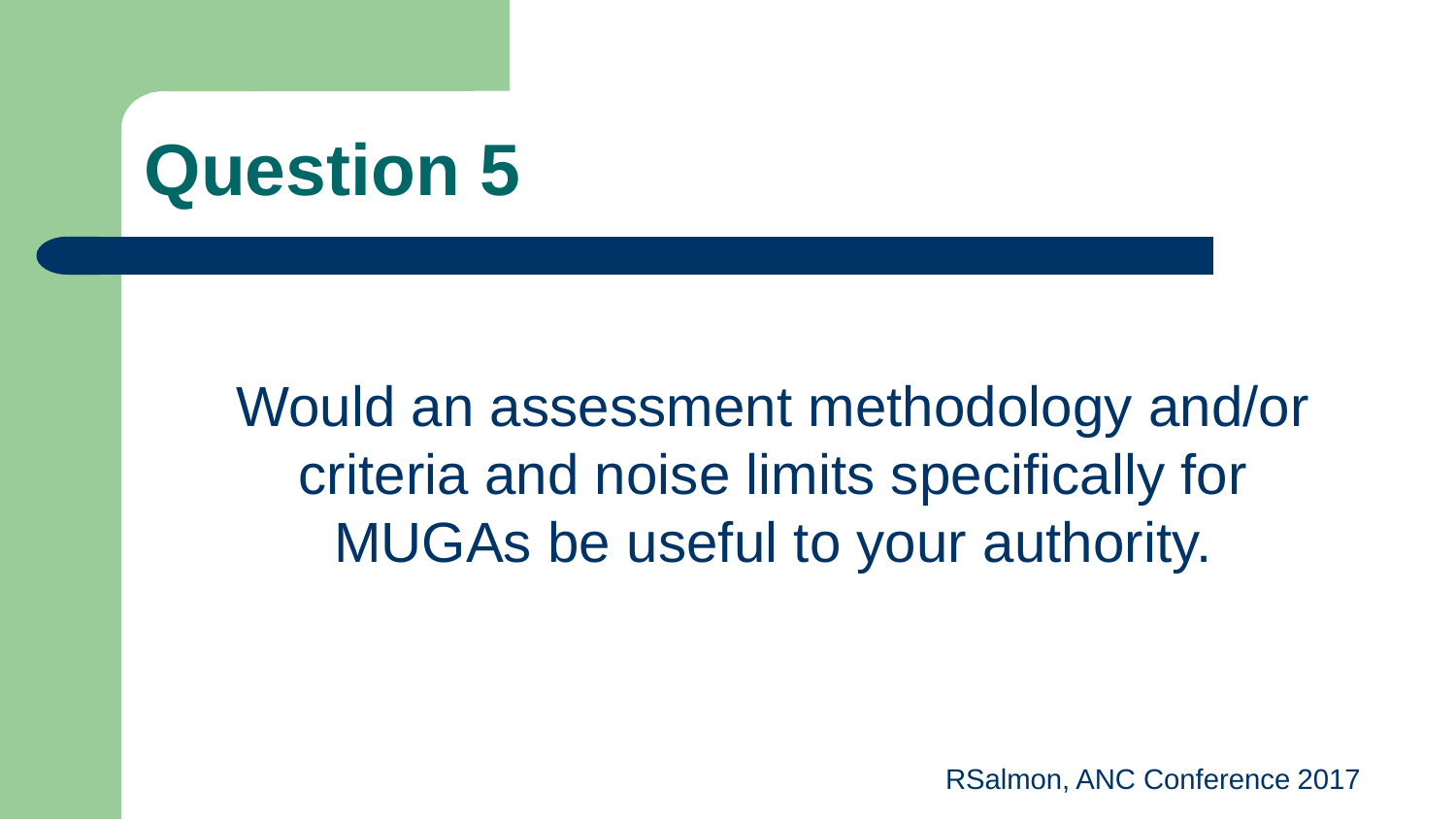Would an assessment methodology and/or criteria and noise limits specifically for MUGAs be useful to your authority.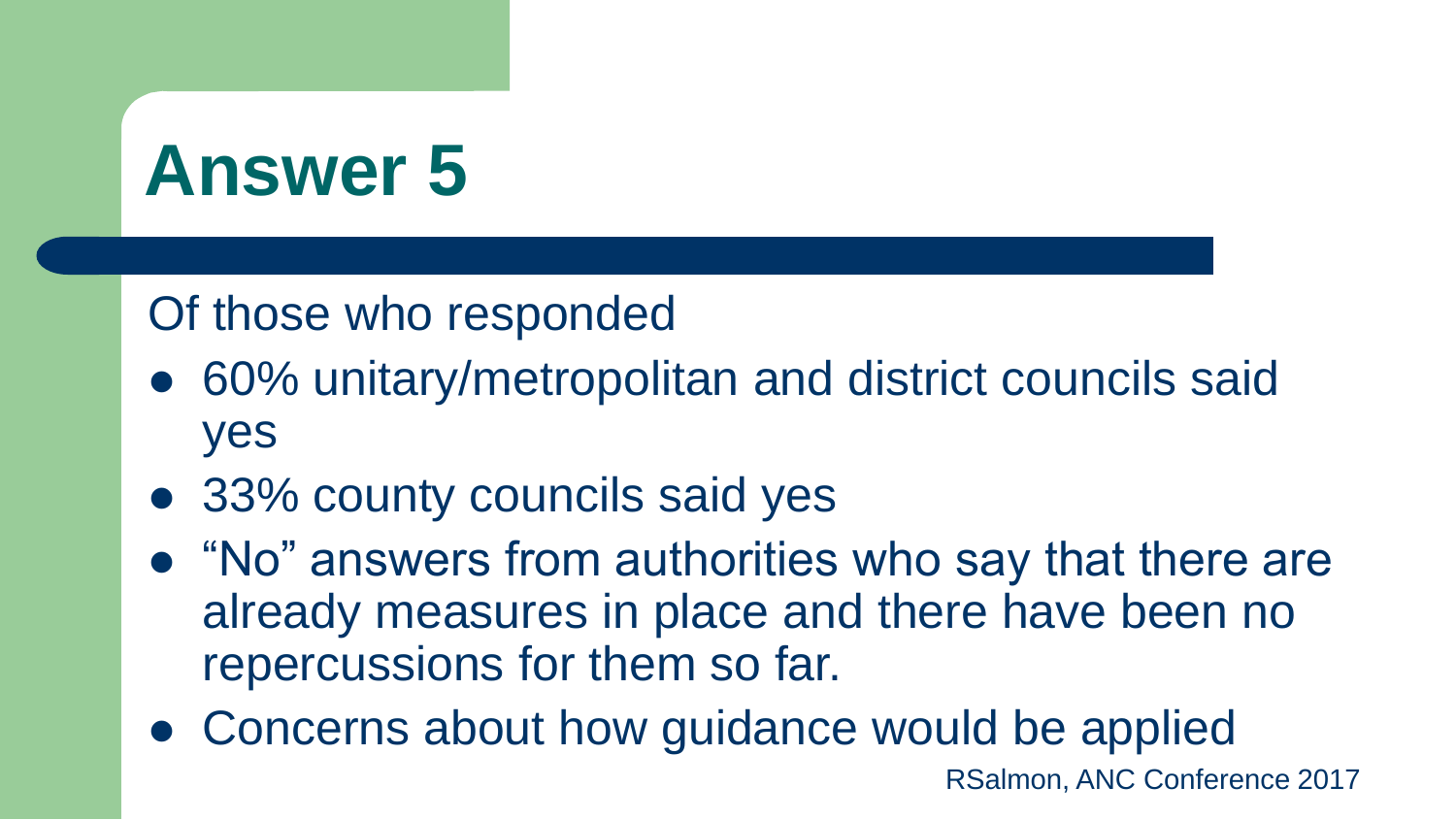#### Of those who responded

- 60% unitary/metropolitan and district councils said yes
- 33% county councils said yes
- "No" answers from authorities who say that there are already measures in place and there have been no repercussions for them so far.
- Concerns about how guidance would be applied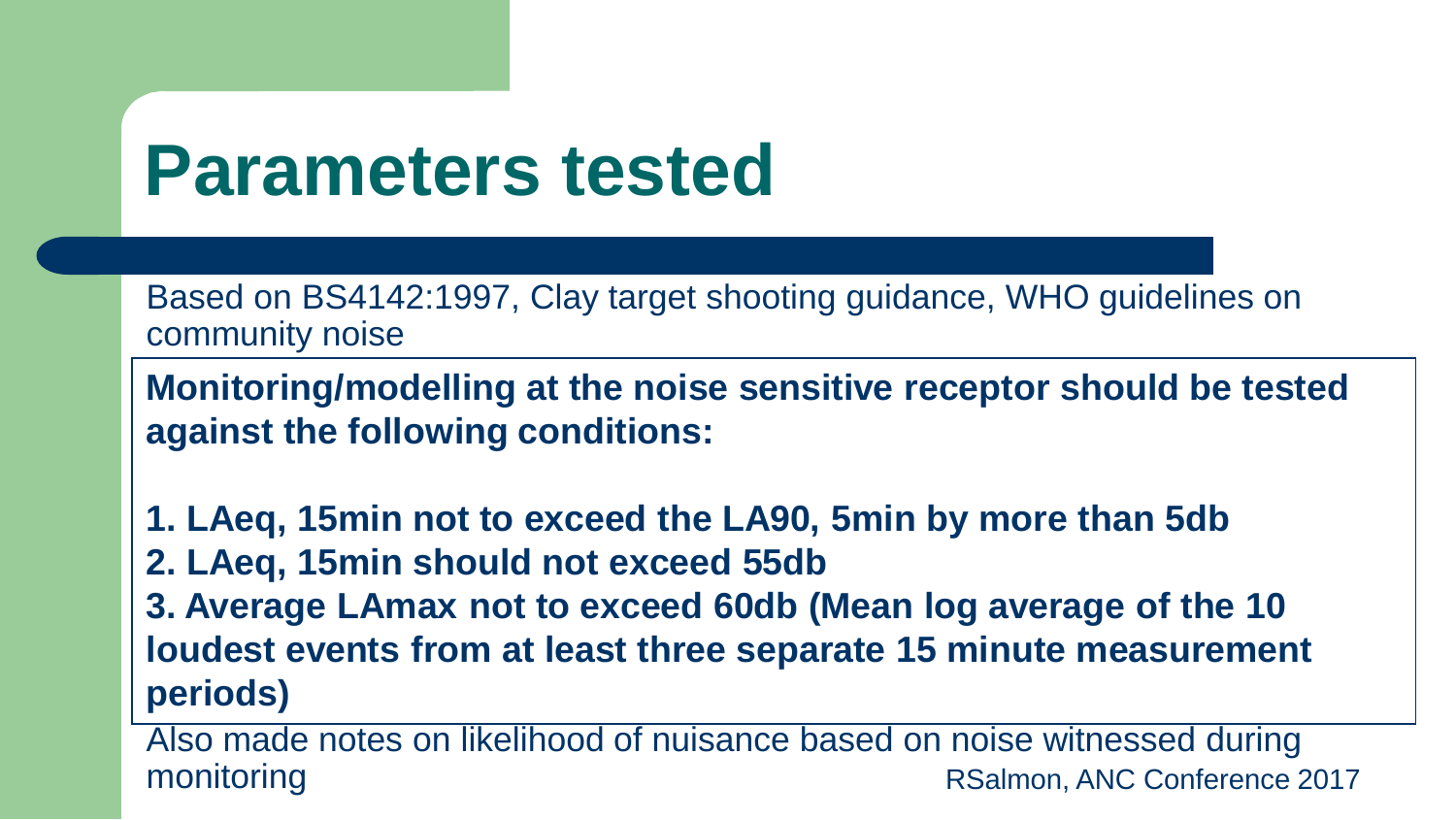#### **Parameters tested**

Based on BS4142:1997, Clay target shooting guidance, WHO guidelines on community noise

**Monitoring/modelling at the noise sensitive receptor should be tested against the following conditions:**

**1. LAeq, 15min not to exceed the LA90, 5min by more than 5db**

**2. LAeq, 15min should not exceed 55db**

**3. Average LAmax not to exceed 60db (Mean log average of the 10 loudest events from at least three separate 15 minute measurement periods)**

RSalmon, ANC Conference 2017 Also made notes on likelihood of nuisance based on noise witnessed during monitoring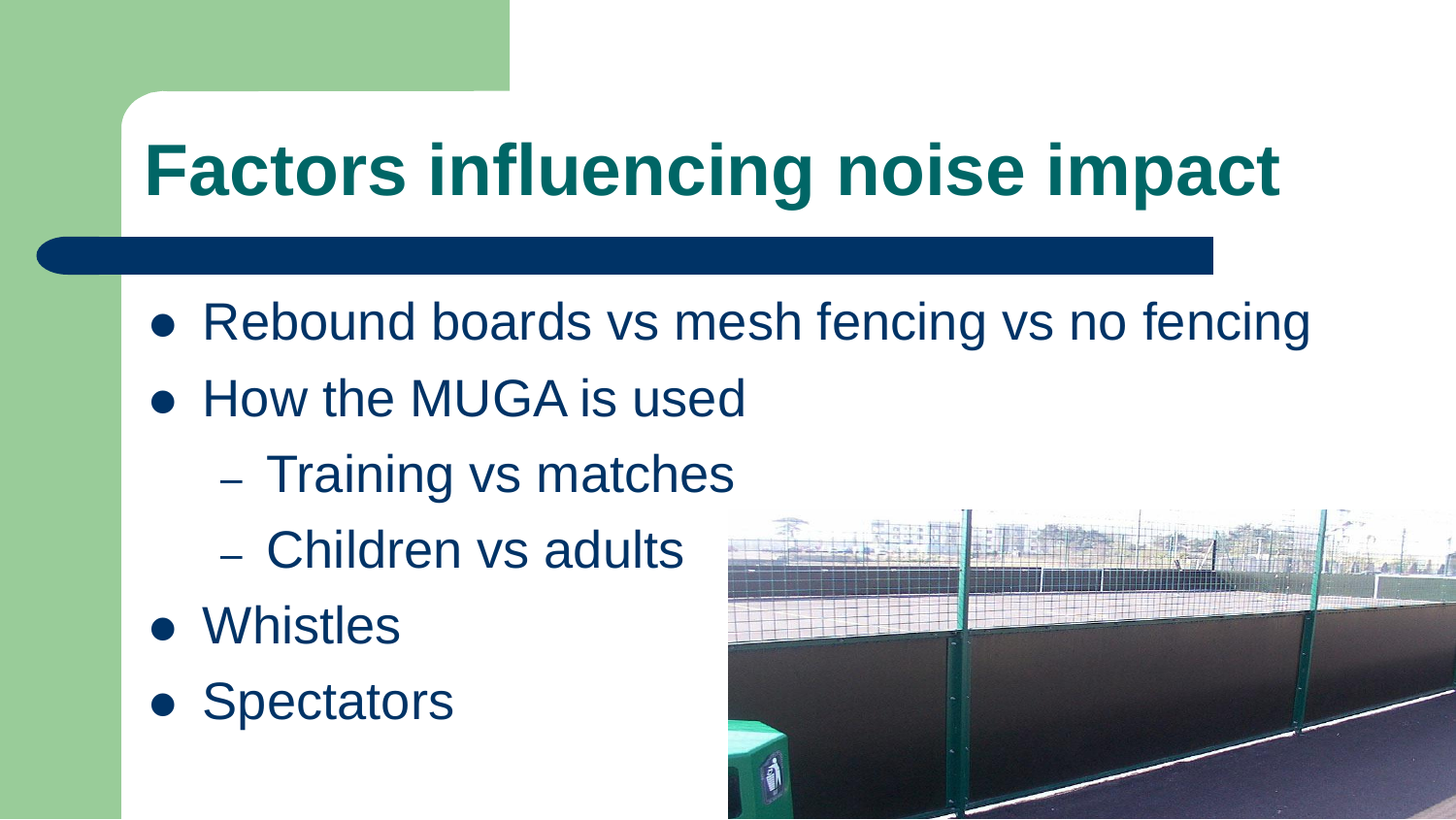### **Factors influencing noise impact**

- Rebound boards vs mesh fencing vs no fencing
- How the MUGA is used
	- Training vs matches
	- Children vs adults
- Whistles
- Spectators

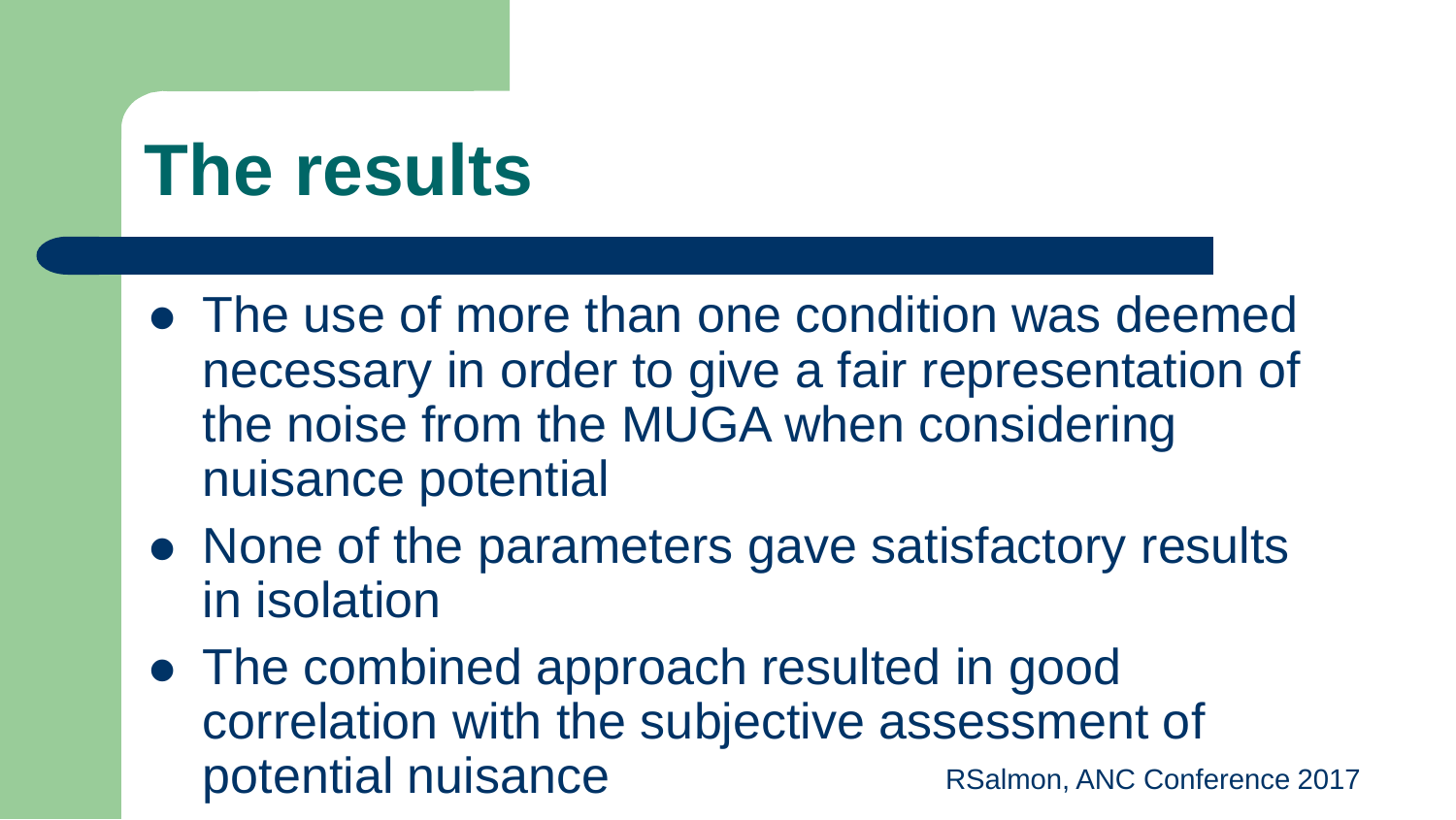#### **The results**

- The use of more than one condition was deemed necessary in order to give a fair representation of the noise from the MUGA when considering nuisance potential
- None of the parameters gave satisfactory results in isolation
- RSalmon, ANC Conference 2017 • The combined approach resulted in good correlation with the subjective assessment of potential nuisance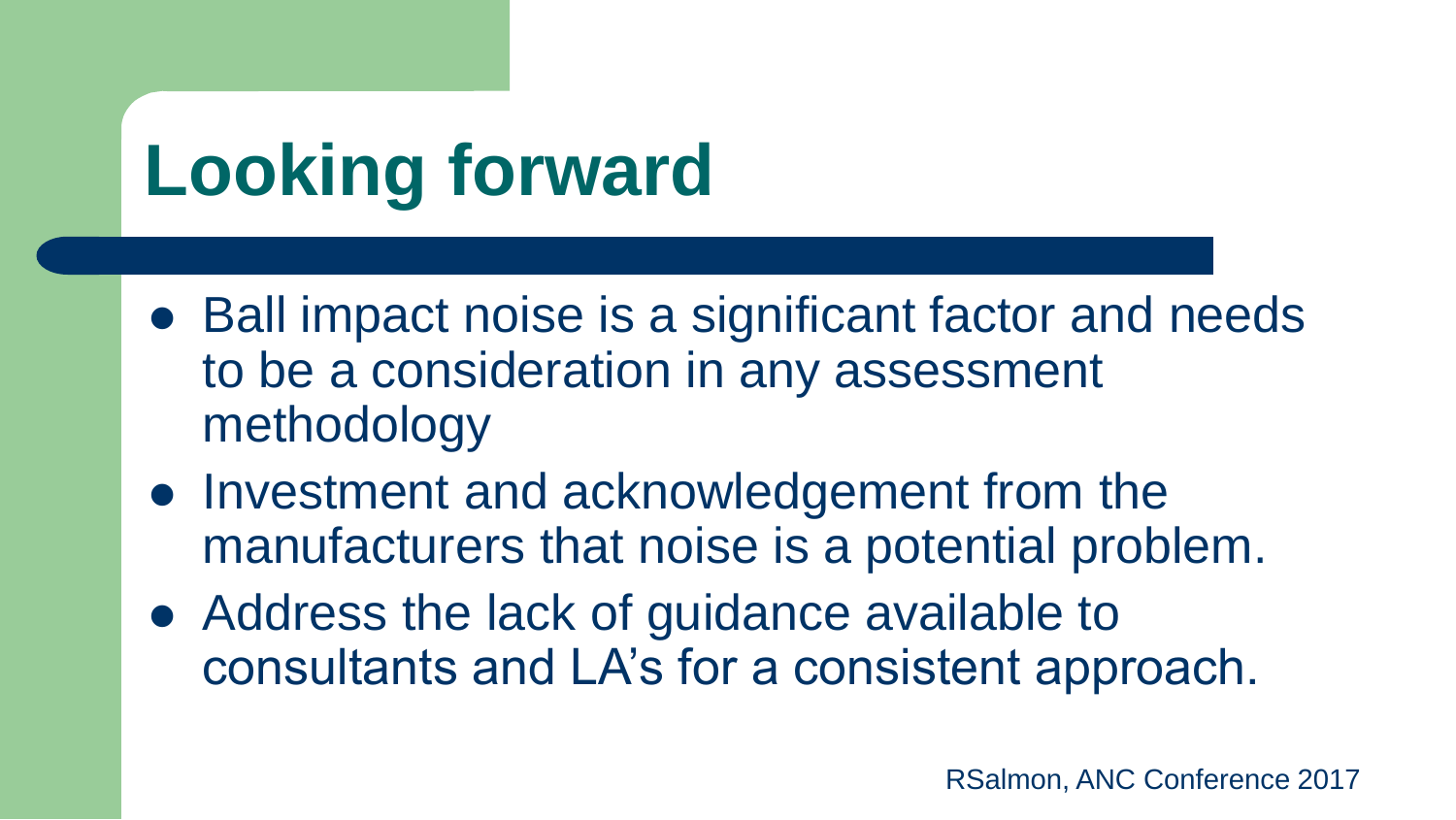# **Looking forward**

- Ball impact noise is a significant factor and needs to be a consideration in any assessment methodology
- Investment and acknowledgement from the manufacturers that noise is a potential problem.
- Address the lack of guidance available to consultants and LA's for a consistent approach.